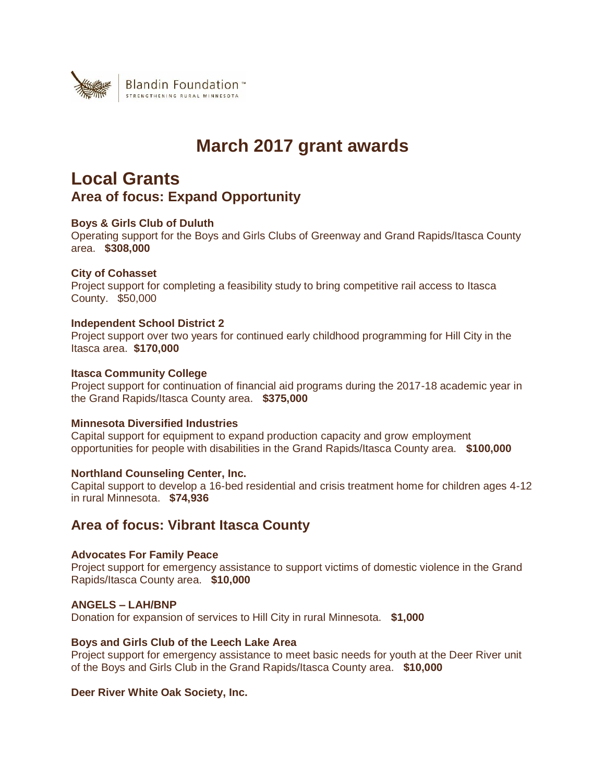

# **March 2017 grant awards**

# **Local Grants Area of focus: Expand Opportunity**

# **Boys & Girls Club of Duluth**

Operating support for the Boys and Girls Clubs of Greenway and Grand Rapids/Itasca County area. **\$308,000**

# **City of Cohasset**

Project support for completing a feasibility study to bring competitive rail access to Itasca County. \$50,000

### **Independent School District 2**

Project support over two years for continued early childhood programming for Hill City in the Itasca area. **\$170,000**

# **Itasca Community College**

Project support for continuation of financial aid programs during the 2017-18 academic year in the Grand Rapids/Itasca County area. **\$375,000**

# **Minnesota Diversified Industries**

Capital support for equipment to expand production capacity and grow employment opportunities for people with disabilities in the Grand Rapids/Itasca County area. **\$100,000**

### **Northland Counseling Center, Inc.**

Capital support to develop a 16-bed residential and crisis treatment home for children ages 4-12 in rural Minnesota. **\$74,936**

# **Area of focus: Vibrant Itasca County**

### **Advocates For Family Peace**

Project support for emergency assistance to support victims of domestic violence in the Grand Rapids/Itasca County area. **\$10,000**

### **ANGELS – LAH/BNP**

Donation for expansion of services to Hill City in rural Minnesota. **\$1,000**

### **Boys and Girls Club of the Leech Lake Area**

Project support for emergency assistance to meet basic needs for youth at the Deer River unit of the Boys and Girls Club in the Grand Rapids/Itasca County area. **\$10,000**

### **Deer River White Oak Society, Inc.**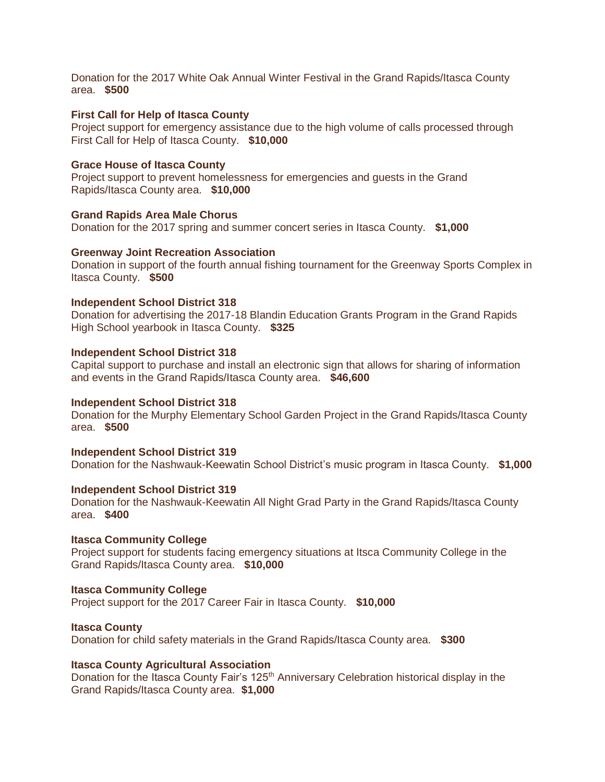Donation for the 2017 White Oak Annual Winter Festival in the Grand Rapids/Itasca County area. **\$500**

### **First Call for Help of Itasca County**

Project support for emergency assistance due to the high volume of calls processed through First Call for Help of Itasca County. **\$10,000**

### **Grace House of Itasca County**

Project support to prevent homelessness for emergencies and guests in the Grand Rapids/Itasca County area. **\$10,000**

### **Grand Rapids Area Male Chorus**

Donation for the 2017 spring and summer concert series in Itasca County. **\$1,000**

### **Greenway Joint Recreation Association**

Donation in support of the fourth annual fishing tournament for the Greenway Sports Complex in Itasca County. **\$500**

### **Independent School District 318**

Donation for advertising the 2017-18 Blandin Education Grants Program in the Grand Rapids High School yearbook in Itasca County. **\$325**

### **Independent School District 318**

Capital support to purchase and install an electronic sign that allows for sharing of information and events in the Grand Rapids/Itasca County area. **\$46,600**

### **Independent School District 318**

Donation for the Murphy Elementary School Garden Project in the Grand Rapids/Itasca County area. **\$500**

**Independent School District 319** Donation for the Nashwauk-Keewatin School District's music program in Itasca County. **\$1,000**

#### **Independent School District 319**

Donation for the Nashwauk-Keewatin All Night Grad Party in the Grand Rapids/Itasca County area. **\$400**

### **Itasca Community College**

Project support for students facing emergency situations at Itsca Community College in the Grand Rapids/Itasca County area. **\$10,000**

### **Itasca Community College**

Project support for the 2017 Career Fair in Itasca County. **\$10,000**

### **Itasca County**

Donation for child safety materials in the Grand Rapids/Itasca County area. **\$300**

### **Itasca County Agricultural Association**

Donation for the Itasca County Fair's 125<sup>th</sup> Anniversary Celebration historical display in the Grand Rapids/Itasca County area. **\$1,000**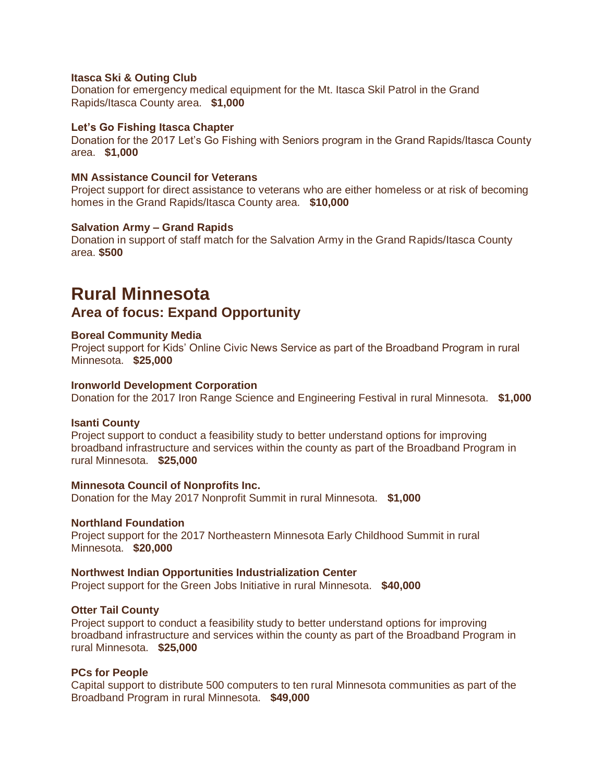### **Itasca Ski & Outing Club**

Donation for emergency medical equipment for the Mt. Itasca Skil Patrol in the Grand Rapids/Itasca County area. **\$1,000**

### **Let's Go Fishing Itasca Chapter**

Donation for the 2017 Let's Go Fishing with Seniors program in the Grand Rapids/Itasca County area. **\$1,000**

### **MN Assistance Council for Veterans**

Project support for direct assistance to veterans who are either homeless or at risk of becoming homes in the Grand Rapids/Itasca County area. **\$10,000**

### **Salvation Army – Grand Rapids**

Donation in support of staff match for the Salvation Army in the Grand Rapids/Itasca County area. **\$500**

# **Rural Minnesota**

# **Area of focus: Expand Opportunity**

### **Boreal Community Media**

Project support for Kids' Online Civic News Service as part of the Broadband Program in rural Minnesota. **\$25,000**

### **Ironworld Development Corporation**

Donation for the 2017 Iron Range Science and Engineering Festival in rural Minnesota. **\$1,000**

### **Isanti County**

Project support to conduct a feasibility study to better understand options for improving broadband infrastructure and services within the county as part of the Broadband Program in rural Minnesota. **\$25,000**

### **Minnesota Council of Nonprofits Inc.**

Donation for the May 2017 Nonprofit Summit in rural Minnesota. **\$1,000**

### **Northland Foundation**

Project support for the 2017 Northeastern Minnesota Early Childhood Summit in rural Minnesota. **\$20,000**

### **Northwest Indian Opportunities Industrialization Center**

Project support for the Green Jobs Initiative in rural Minnesota. **\$40,000**

### **Otter Tail County**

Project support to conduct a feasibility study to better understand options for improving broadband infrastructure and services within the county as part of the Broadband Program in rural Minnesota. **\$25,000**

### **PCs for People**

Capital support to distribute 500 computers to ten rural Minnesota communities as part of the Broadband Program in rural Minnesota. **\$49,000**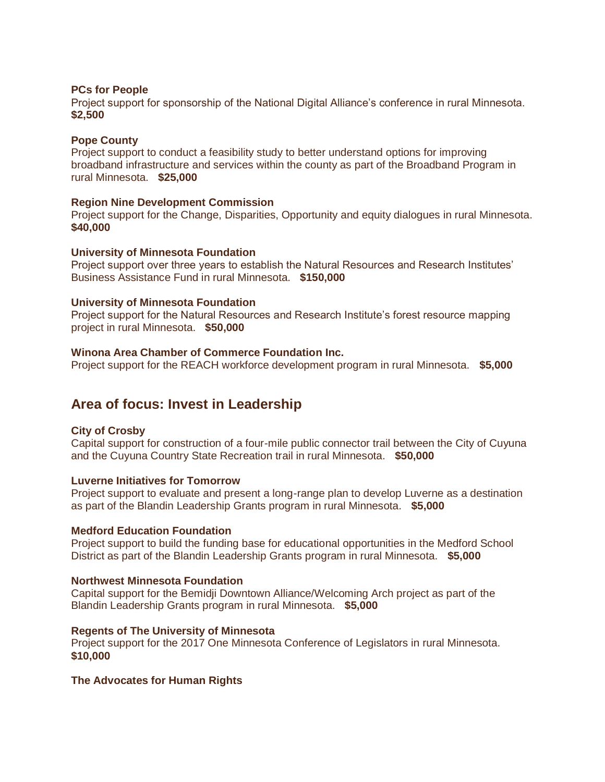### **PCs for People**

Project support for sponsorship of the National Digital Alliance's conference in rural Minnesota. **\$2,500**

### **Pope County**

Project support to conduct a feasibility study to better understand options for improving broadband infrastructure and services within the county as part of the Broadband Program in rural Minnesota. **\$25,000**

### **Region Nine Development Commission**

Project support for the Change, Disparities, Opportunity and equity dialogues in rural Minnesota. **\$40,000**

### **University of Minnesota Foundation**

Project support over three years to establish the Natural Resources and Research Institutes' Business Assistance Fund in rural Minnesota. **\$150,000**

### **University of Minnesota Foundation**

Project support for the Natural Resources and Research Institute's forest resource mapping project in rural Minnesota. **\$50,000**

# **Winona Area Chamber of Commerce Foundation Inc.**

Project support for the REACH workforce development program in rural Minnesota. **\$5,000**

# **Area of focus: Invest in Leadership**

# **City of Crosby**

Capital support for construction of a four-mile public connector trail between the City of Cuyuna and the Cuyuna Country State Recreation trail in rural Minnesota. **\$50,000**

### **Luverne Initiatives for Tomorrow**

Project support to evaluate and present a long-range plan to develop Luverne as a destination as part of the Blandin Leadership Grants program in rural Minnesota. **\$5,000**

### **Medford Education Foundation**

Project support to build the funding base for educational opportunities in the Medford School District as part of the Blandin Leadership Grants program in rural Minnesota. **\$5,000**

### **Northwest Minnesota Foundation**

Capital support for the Bemidji Downtown Alliance/Welcoming Arch project as part of the Blandin Leadership Grants program in rural Minnesota. **\$5,000**

### **Regents of The University of Minnesota**

Project support for the 2017 One Minnesota Conference of Legislators in rural Minnesota. **\$10,000**

### **The Advocates for Human Rights**